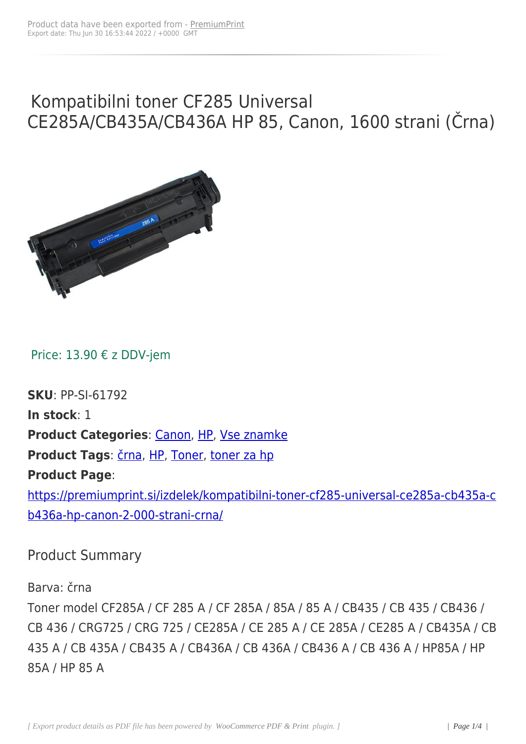# Kompatibilni toner CF285 Universal CE285A/CB435A/CB436A HP 85, Canon, 1600 strani (Črna)



Price: 13.90 € z DDV-jem

**SKU**: PP-SI-61792 **In stock**: 1 **Product Categories**: Canon, HP, Vse znamke Product Tags: črna, HP, Toner, toner za hp **Product Page**: https://premiu[mprint](https://premiumprint.si/product-tag/crna/).[si/iz](https://premiumprint.si/product-tag/hp/)[delek/k](https://premiumprint.si/product-tag/toner/)[ompatibilni-](https://premiumprint.si/product-tag/toner-za-hp/)toner-cf285-universal-ce285a-cb435a-c b436a-hp-canon-2-000-strani-crna/

#### [Product Summary](https://premiumprint.si/izdelek/kompatibilni-toner-cf285-universal-ce285a-cb435a-cb436a-hp-canon-2-000-strani-crna/)

Barva: črna

Toner model CF285A / CF 285 A / CF 285A / 85A / 85 A / CB435 / CB 435 / CB436 / CB 436 / CRG725 / CRG 725 / CE285A / CE 285 A / CE 285A / CE285 A / CB435A / CB 435 A / CB 435A / CB435 A / CB436A / CB 436A / CB436 A / CB 436 A / HP85A / HP 85A / HP 85 A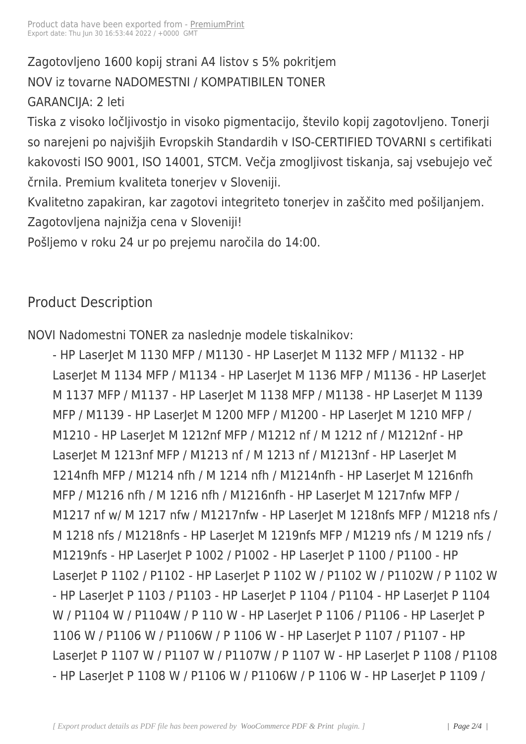Zagotovljeno 1600 kopij stra[ni A4 listov](https://premiumprint.si/?post_type=product&p=3797) s 5% pokritjem NOV iz tovarne NADOMESTNI / KOMPATIBILEN TONER GARANCIJA: 2 leti

Tiska z visoko ločljivostjo in visoko pigmentacijo, število kopij zagotovljeno. Tonerji so narejeni po najvišjih Evropskih Standardih v ISO-CERTIFIED TOVARNI s certifikati kakovosti ISO 9001, ISO 14001, STCM. Večja zmogljivost tiskanja, saj vsebujejo več črnila. Premium kvaliteta tonerjev v Sloveniji.

Kvalitetno zapakiran, kar zagotovi integriteto tonerjev in zaščito med pošiljanjem. Zagotovljena najnižja cena v Sloveniji!

Pošljemo v roku 24 ur po prejemu naročila do 14:00.

### Product Description

NOVI Nadomestni TONER za naslednje modele tiskalnikov:

- HP LaserJet M 1130 MFP / M1130 - HP LaserJet M 1132 MFP / M1132 - HP LaserJet M 1134 MFP / M1134 - HP LaserJet M 1136 MFP / M1136 - HP LaserJet M 1137 MFP / M1137 - HP LaserJet M 1138 MFP / M1138 - HP LaserJet M 1139 MFP / M1139 - HP LaserJet M 1200 MFP / M1200 - HP LaserJet M 1210 MFP / M1210 - HP LaserJet M 1212nf MFP / M1212 nf / M 1212 nf / M1212nf - HP LaserJet M 1213nf MFP / M1213 nf / M 1213 nf / M1213nf - HP LaserJet M 1214nfh MFP / M1214 nfh / M 1214 nfh / M1214nfh - HP LaserJet M 1216nfh MFP / M1216 nfh / M 1216 nfh / M1216nfh - HP LaserJet M 1217nfw MFP / M1217 nf w/ M 1217 nfw / M1217nfw - HP LaserJet M 1218nfs MFP / M1218 nfs / M 1218 nfs / M1218nfs - HP LaserJet M 1219nfs MFP / M1219 nfs / M 1219 nfs / M1219nfs - HP LaserJet P 1002 / P1002 - HP LaserJet P 1100 / P1100 - HP LaserJet P 1102 / P1102 - HP LaserJet P 1102 W / P1102 W / P1102W / P 1102 W - HP LaserJet P 1103 / P1103 - HP LaserJet P 1104 / P1104 - HP LaserJet P 1104 W / P1104 W / P1104W / P 110 W - HP LaserJet P 1106 / P1106 - HP LaserJet P 1106 W / P1106 W / P1106W / P 1106 W - HP LaserJet P 1107 / P1107 - HP LaserJet P 1107 W / P1107 W / P1107W / P 1107 W - HP LaserJet P 1108 / P1108 - HP LaserJet P 1108 W / P1106 W / P1106W / P 1106 W - HP LaserJet P 1109 /